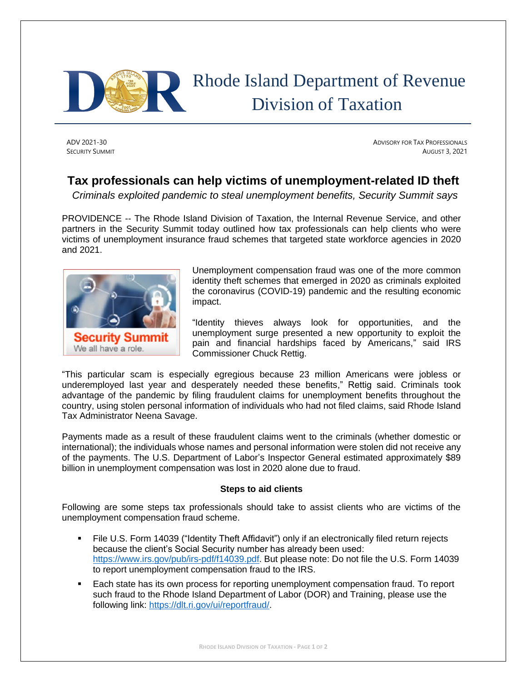

## Rhode Island Department of Revenue Division of Taxation

ADV 2021-30 ADVISORY FOR TAX PROFESSIONALS **SECURITY SUMMIT** AUGUST 3, 2021

## **Tax professionals can help victims of unemployment-related ID theft**

*Criminals exploited pandemic to steal unemployment benefits, Security Summit says*

PROVIDENCE -- The Rhode Island Division of Taxation, the Internal Revenue Service, and other partners in the Security Summit today outlined how tax professionals can help clients who were victims of unemployment insurance fraud schemes that targeted state workforce agencies in 2020 and 2021.



Unemployment compensation fraud was one of the more common identity theft schemes that emerged in 2020 as criminals exploited the coronavirus (COVID-19) pandemic and the resulting economic impact.

"Identity thieves always look for opportunities, and the unemployment surge presented a new opportunity to exploit the pain and financial hardships faced by Americans," said IRS Commissioner Chuck Rettig.

"This particular scam is especially egregious because 23 million Americans were jobless or underemployed last year and desperately needed these benefits," Rettig said. Criminals took advantage of the pandemic by filing fraudulent claims for unemployment benefits throughout the country, using stolen personal information of individuals who had not filed claims, said Rhode Island Tax Administrator Neena Savage.

Payments made as a result of these fraudulent claims went to the criminals (whether domestic or international); the individuals whose names and personal information were stolen did not receive any of the payments. The U.S. Department of Labor's Inspector General estimated approximately \$89 billion in unemployment compensation was lost in 2020 alone due to fraud.

## **Steps to aid clients**

Following are some steps tax professionals should take to assist clients who are victims of the unemployment compensation fraud scheme.

- File U.S. Form 14039 ("Identity Theft Affidavit") only if an electronically filed return rejects because the client's Social Security number has already been used: [https://www.irs.gov/pub/irs-pdf/f14039.pdf.](https://www.irs.gov/pub/irs-pdf/f14039.pdf) But please note: Do not file the U.S. Form 14039 to report unemployment compensation fraud to the IRS.
- Each state has its own process for reporting unemployment compensation fraud. To report such fraud to the Rhode Island Department of Labor (DOR) and Training, please use the following link: [https://dlt.ri.gov/ui/reportfraud/.](https://dlt.ri.gov/ui/reportfraud/)